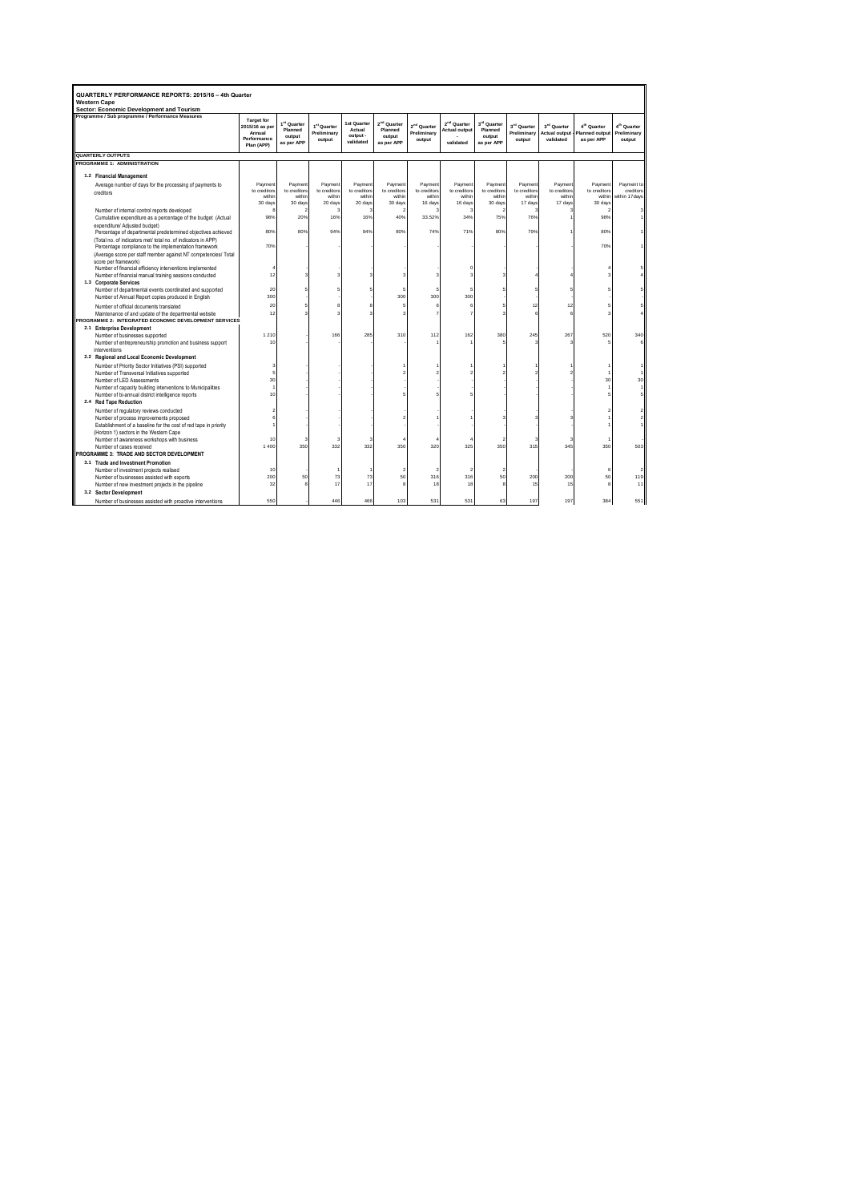| QUARTERLY PERFORMANCE REPORTS: 2015/16 - 4th Quarter<br><b>Western Cape</b><br>Sector: Economic Development and Tourism |                                     |                        |                         |                        |                         |                         |                         |                        |                         |                         |                         |                            |
|-------------------------------------------------------------------------------------------------------------------------|-------------------------------------|------------------------|-------------------------|------------------------|-------------------------|-------------------------|-------------------------|------------------------|-------------------------|-------------------------|-------------------------|----------------------------|
| Programme / Sub programme / Performance Measures                                                                        |                                     |                        |                         |                        |                         |                         |                         |                        |                         |                         |                         |                            |
|                                                                                                                         | <b>Target for</b><br>2015/16 as per | 1st Quarter            | 1 <sup>st</sup> Quarter | 1st Quarter<br>Actual  | 2 <sup>nd</sup> Quarter | 2 <sup>nd</sup> Quarter | 2 <sup>nd</sup> Quarter | 3rd Quarter            | 3 <sup>rd</sup> Quarter | 3 <sup>rd</sup> Quarter | 4 <sup>th</sup> Quarter | 4 <sup>th</sup> Quarter    |
|                                                                                                                         | Annual                              | Planned<br>output      | Preliminary             | output -               | Planned<br>output       | Preliminary             | <b>Actual output</b>    | Planned<br>output      | Preliminary             | <b>Actual output</b>    | <b>Planned output</b>   | Preliminary                |
|                                                                                                                         | Performance<br>Plan (APP)           | as per APP             | output                  | validated              | as per APP              | output                  | validated               | as per APP             | output                  | validated               | as per APP              | output                     |
| QUARTERLY OUTPUTS                                                                                                       |                                     |                        |                         |                        |                         |                         |                         |                        |                         |                         |                         |                            |
| <b>PROGRAMME 1: ADMINISTRATION</b>                                                                                      |                                     |                        |                         |                        |                         |                         |                         |                        |                         |                         |                         |                            |
| 1.2 Financial Management                                                                                                |                                     |                        |                         |                        |                         |                         |                         |                        |                         |                         |                         |                            |
| Average number of days for the processing of payments to                                                                | Payment                             | Payment                | Payment                 | Payment                | Payment                 | Payment                 | Payment                 | Payment                | Payment                 | Payment                 | Payment                 | Payment to                 |
| creditors                                                                                                               | to creditors<br>within              | to creditors<br>within | to creditors<br>within  | to creditors<br>within | to creditors<br>within  | to creditors<br>within  | to creditors<br>within  | to creditors<br>within | to creditors<br>within  | to creditors<br>within  | to creditors<br>within  | creditors<br>within 17days |
|                                                                                                                         | 30 days                             | 30 days                | 20 days                 | 20 days                | 30 days                 | 16 days                 | 16 days                 | 30 days                | 17 days                 | 17 days                 | 30 days                 |                            |
| Number of internal control reports developed                                                                            |                                     | 2                      |                         | 3                      |                         | ž                       | ź                       |                        | з                       |                         | 2                       | з                          |
| Cumulative expenditure as a percentage of the budget (Actual                                                            | 98%                                 | 20%                    | 16%                     | 16%                    | 40%                     | 33.52%                  | 34%                     | 75%                    | 76%                     |                         | 98%                     |                            |
| expenditure/ Adiusted budget)                                                                                           |                                     |                        |                         |                        |                         |                         |                         |                        |                         |                         |                         |                            |
| Percentage of departmental predetermined objectives achieved                                                            | 80%                                 | 80%                    | 94%                     | 94%                    | 80%                     | 74%                     | 71%                     | 80%                    | 79%                     |                         | 80%                     |                            |
| (Total no. of indicators met/ total no. of indicators in APP)                                                           |                                     |                        |                         |                        |                         |                         |                         |                        |                         |                         |                         |                            |
| Percentage compliance to the implementation framework                                                                   | 70%                                 |                        |                         |                        |                         |                         |                         |                        |                         |                         | 70%                     |                            |
| (Average score per staff member against NT competencies/ Total<br>score per framework)                                  |                                     |                        |                         |                        |                         |                         |                         |                        |                         |                         |                         |                            |
| Number of financial efficiency interventions implemented                                                                |                                     |                        |                         |                        |                         |                         |                         |                        |                         |                         |                         |                            |
| Number of financial manual training sessions conducted                                                                  | 12                                  |                        |                         |                        |                         |                         |                         |                        |                         |                         |                         |                            |
| 1.3 Corporate Services                                                                                                  |                                     |                        |                         |                        |                         |                         |                         |                        |                         |                         |                         |                            |
| Number of departmental events coordinated and supported                                                                 | 20                                  | 5                      |                         |                        |                         | 5                       | 5                       |                        |                         |                         |                         |                            |
| Number of Annual Report copies produced in English                                                                      | 300                                 |                        |                         |                        | 300                     | 300                     | 300                     |                        |                         |                         |                         |                            |
| Number of official documents translated                                                                                 | 20                                  | 5                      |                         |                        |                         | f                       | 6                       |                        | 12                      | 12                      |                         |                            |
| Maintenance of and update of the departmental website                                                                   | 12                                  | 3                      |                         |                        |                         |                         |                         |                        | 6                       |                         |                         |                            |
| PROGRAMME 2: INTEGRATED ECONOMIC DEVELOPMENT SERVICES                                                                   |                                     |                        |                         |                        |                         |                         |                         |                        |                         |                         |                         |                            |
| 2.1 Enterprise Development                                                                                              |                                     |                        |                         |                        |                         |                         |                         |                        |                         |                         |                         |                            |
| Number of businesses supported                                                                                          | 1 2 1 0<br>10                       |                        | 166                     | 285                    | 310                     | 112                     | 162                     | 380                    | 245                     | 267                     | 520                     | 340                        |
| Number of entrepreneurship promotion and business support<br>interventions                                              |                                     |                        |                         |                        |                         |                         |                         |                        |                         |                         |                         |                            |
| 2.2 Regional and Local Economic Development                                                                             |                                     |                        |                         |                        |                         |                         |                         |                        |                         |                         |                         |                            |
| Number of Priority Sector Initiatives (PSI) supported                                                                   |                                     |                        |                         |                        |                         |                         |                         |                        |                         |                         |                         |                            |
| Number of Transversal Initiatives supported                                                                             |                                     |                        |                         |                        |                         |                         |                         |                        |                         |                         |                         |                            |
| Number of LED Assessments                                                                                               | 30                                  |                        |                         |                        |                         |                         |                         |                        |                         |                         | 30                      | 30                         |
| Number of capacity building interventions to Municipalities                                                             |                                     |                        |                         |                        |                         |                         |                         |                        |                         |                         |                         |                            |
| Number of bi-annual district intelligence reports                                                                       | 10                                  |                        |                         |                        |                         |                         |                         |                        |                         |                         |                         |                            |
| 2.4 Red Tape Reduction                                                                                                  |                                     |                        |                         |                        |                         |                         |                         |                        |                         |                         |                         |                            |
| Number of requlatory reviews conducted                                                                                  |                                     |                        |                         |                        |                         |                         |                         |                        |                         |                         |                         |                            |
| Number of process improvements proposed                                                                                 |                                     |                        |                         |                        |                         |                         |                         |                        |                         |                         |                         |                            |
| Establishment of a baseline for the cost of red tape in priority                                                        |                                     |                        |                         |                        |                         |                         |                         |                        |                         |                         |                         |                            |
| (Horizon 1) sectors in the Western Cape<br>Number of awareness workshops with business                                  | 10                                  | 3                      |                         | 3                      |                         |                         |                         |                        | з                       |                         |                         |                            |
| Number of cases received                                                                                                | 1400                                | 350                    | 332                     | 332                    | 350                     | 320                     | 325                     | 350                    | 315                     | 345                     | 350                     | 503                        |
| PROGRAMME 3: TRADE AND SECTOR DEVELOPMENT                                                                               |                                     |                        |                         |                        |                         |                         |                         |                        |                         |                         |                         |                            |
| 3.1 Trade and Investment Promotion                                                                                      |                                     |                        |                         |                        |                         |                         |                         |                        |                         |                         |                         |                            |
| Number of investment projects realised                                                                                  | 10                                  |                        |                         |                        |                         | r.                      | f.                      |                        |                         |                         | €                       | ٠                          |
| Number of businesses assisted with exports                                                                              | 200                                 | 50                     | 73                      | 73                     | 50                      | 316                     | 316                     | 50                     | 200                     | 200                     | 50                      | 119                        |
| Number of new investment projects in the pipeline                                                                       | 32                                  |                        | 17                      | 17                     |                         | 18                      | 18                      |                        | 15                      | 15                      |                         | 11                         |
| 3.2 Sector Development                                                                                                  |                                     |                        |                         |                        |                         |                         |                         |                        |                         |                         |                         |                            |
| Number of businesses assisted with proactive interventions                                                              | 550                                 |                        | 446                     | 466                    | 103                     | 531                     | 531                     | 63                     | 197                     | 197                     | 384                     | 551                        |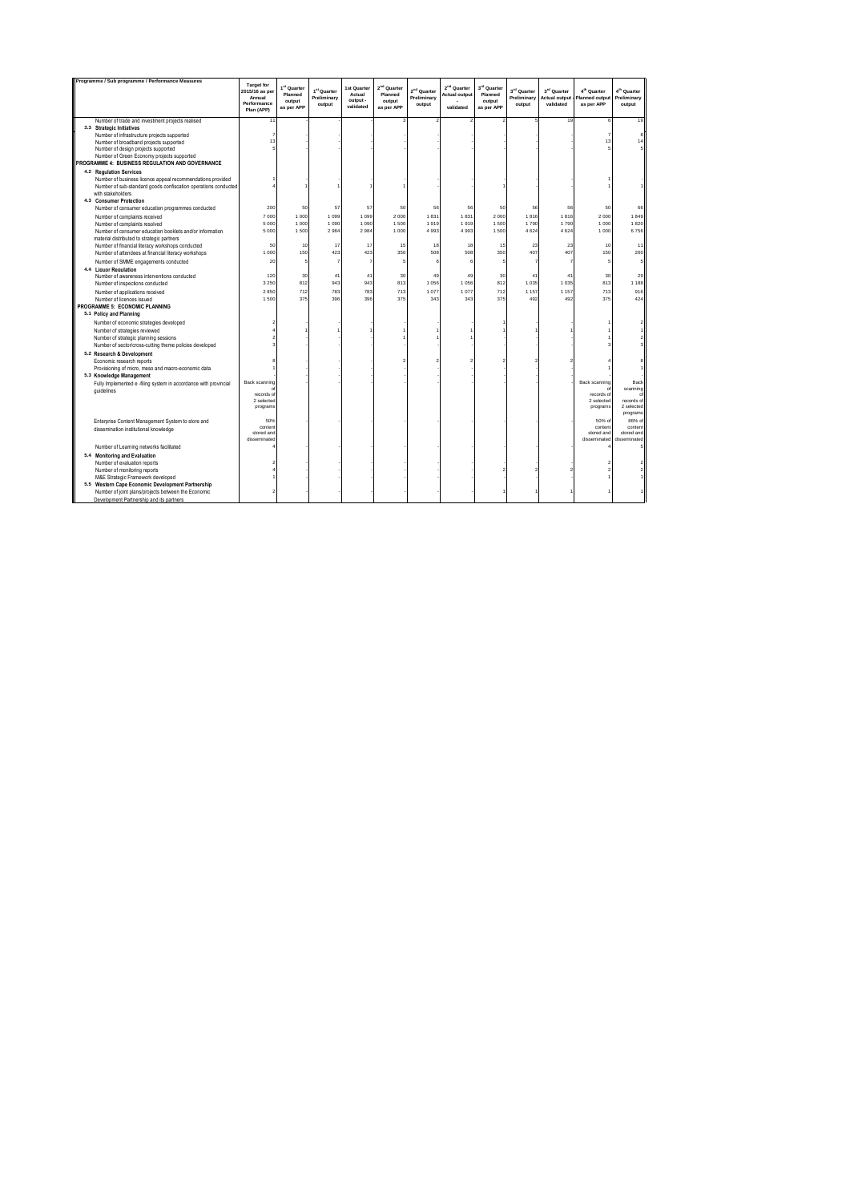| Programme / Sub programme / Performance Measures                                                                                                                                                                                                             |                                                                            |                                                |                                                  |                                                |                                                            |                                                  |                                                              |                                                            |                                      |                                                              |                                                                |                                                  |
|--------------------------------------------------------------------------------------------------------------------------------------------------------------------------------------------------------------------------------------------------------------|----------------------------------------------------------------------------|------------------------------------------------|--------------------------------------------------|------------------------------------------------|------------------------------------------------------------|--------------------------------------------------|--------------------------------------------------------------|------------------------------------------------------------|--------------------------------------|--------------------------------------------------------------|----------------------------------------------------------------|--------------------------------------------------|
|                                                                                                                                                                                                                                                              | <b>Target for</b><br>2015/16 as per<br>Annual<br>Performance<br>Plan (APP) | 1st Quarter<br>Planned<br>output<br>as per APP | 1 <sup>st</sup> Quarter<br>Preliminary<br>output | 1st Quarter<br>Actual<br>output -<br>validated | 2 <sup>nd</sup> Quarter<br>Planned<br>output<br>as per APP | 2 <sup>nd</sup> Quarter<br>Preliminary<br>output | 2 <sup>nd</sup> Quarter<br><b>Actual output</b><br>validated | 3 <sup>rd</sup> Quarter<br>Planned<br>output<br>as per APP | 3rd Quarter<br>Preliminary<br>output | 3 <sup>rd</sup> Quarter<br><b>Actual output</b><br>validated | 4 <sup>th</sup> Quarter<br><b>Planned output</b><br>as per APP | 4 <sup>th</sup> Quarter<br>Preliminary<br>output |
| Number of trade and investment projects realised<br>3.3 Strategic Initiatives                                                                                                                                                                                | 11                                                                         |                                                |                                                  |                                                |                                                            |                                                  |                                                              |                                                            |                                      | 19                                                           |                                                                | 19                                               |
| Number of infrastructure projects supported<br>Number of broadband projects supported<br>Number of design projects supported                                                                                                                                 | 13                                                                         |                                                |                                                  |                                                |                                                            |                                                  |                                                              |                                                            |                                      |                                                              | 13                                                             | $\mathbf{R}$                                     |
| Number of Green Economy projects supported<br>PROGRAMME 4: BUSINESS REGULATION AND GOVERNANCE                                                                                                                                                                |                                                                            |                                                |                                                  |                                                |                                                            |                                                  |                                                              |                                                            |                                      |                                                              |                                                                |                                                  |
| 4.2 Regulation Services<br>Number of business licence appeal recommendations provided<br>Number of sub-standard goods confiscation operations conducted<br>with stakeholders<br>4.3 Consumer Protection<br>Number of consumer education programmes conducted | 200                                                                        | 50                                             | 57                                               | 57                                             | 50                                                         | 56                                               | 56                                                           | 50                                                         | 56                                   | 56                                                           | 50                                                             | 66                                               |
|                                                                                                                                                                                                                                                              | 7000                                                                       | 1 000                                          | 1 0 9 9                                          | 1 0 9 9                                        | 2000                                                       | 1831                                             | 1831                                                         | 2000                                                       | 1816                                 | 1816                                                         | 2000                                                           | 1849                                             |
| Number of complaints received<br>Number of complaints resolved                                                                                                                                                                                               | 5 0 0 0                                                                    | 1 000                                          | 1 0 9 0                                          | 1 0 9 0                                        | 1500                                                       | 1919                                             | 1919                                                         | 1500                                                       | 1790                                 | 1790                                                         | 1 000                                                          | 1820                                             |
| Number of consumer education booklets and/or information<br>material distributed to strategic partners                                                                                                                                                       | 5 0 0 0                                                                    | 1500                                           | 2984                                             | 2984                                           | 1 000                                                      | 4 9 9 3                                          | 4993                                                         | 1500                                                       | 4624                                 | 4624                                                         | 1 000                                                          | 6756                                             |
| Number of financial literacy workshops conducted<br>Number of attendees at financial literacy workshops                                                                                                                                                      | 50<br>1 000                                                                | 10<br>150                                      | 17<br>423                                        | 17<br>423                                      | 15<br>350                                                  | 18<br>508                                        | 18<br>508                                                    | 15<br>350                                                  | 23<br>407                            | 23<br>407                                                    | 10<br>150                                                      | 11<br>200                                        |
| Number of SMME engagements conducted                                                                                                                                                                                                                         | 20                                                                         | 5                                              |                                                  | $\overline{7}$                                 | 5                                                          |                                                  | 6                                                            | 5                                                          |                                      |                                                              |                                                                | 5                                                |
| 4.4 Liquor Regulation                                                                                                                                                                                                                                        |                                                                            |                                                |                                                  |                                                |                                                            |                                                  |                                                              |                                                            |                                      |                                                              |                                                                |                                                  |
| Number of awareness interventions conducted<br>Number of inspections conducted                                                                                                                                                                               | 120<br>3 2 5 0                                                             | 30<br>812                                      | 41<br>943                                        | 41<br>943                                      | 30<br>813                                                  | 49<br>1 0 5 6                                    | 49<br>1056                                                   | 30<br>812                                                  | 41<br>1 0 3 5                        | 41<br>1 0 3 5                                                | 30<br>813                                                      | 29<br>1 1 8 8                                    |
| Number of applications received                                                                                                                                                                                                                              | 2850                                                                       | 712                                            | 783                                              | 783                                            | 713                                                        | 1077                                             | 1077                                                         | 712                                                        | 1 1 5 7                              | 1 1 5 7                                                      | 713                                                            | 916                                              |
| Number of licences issued<br>PROGRAMME 5: ECONOMIC PLANNING                                                                                                                                                                                                  | 1500                                                                       | 375                                            | 396                                              | 396                                            | 375                                                        | 343                                              | 343                                                          | 375                                                        | 492                                  | 492                                                          | 375                                                            | 424                                              |
| 5.1 Policy and Planning                                                                                                                                                                                                                                      |                                                                            |                                                |                                                  |                                                |                                                            |                                                  |                                                              |                                                            |                                      |                                                              |                                                                |                                                  |
| Number of economic strategies developed                                                                                                                                                                                                                      |                                                                            |                                                |                                                  |                                                |                                                            |                                                  |                                                              |                                                            |                                      |                                                              |                                                                |                                                  |
| Number of strategies reviewed                                                                                                                                                                                                                                |                                                                            |                                                |                                                  |                                                |                                                            |                                                  |                                                              |                                                            |                                      |                                                              |                                                                |                                                  |
| Number of strategic planning sessions                                                                                                                                                                                                                        |                                                                            |                                                |                                                  |                                                |                                                            |                                                  |                                                              |                                                            |                                      |                                                              |                                                                |                                                  |
| Number of sector/cross-cutting theme policies developed<br>5.2 Research & Development                                                                                                                                                                        |                                                                            |                                                |                                                  |                                                |                                                            |                                                  |                                                              |                                                            |                                      |                                                              |                                                                |                                                  |
| Economic research reports                                                                                                                                                                                                                                    |                                                                            |                                                |                                                  |                                                |                                                            |                                                  |                                                              |                                                            |                                      |                                                              |                                                                |                                                  |
| Provisioning of micro, meso and macro-economic data                                                                                                                                                                                                          |                                                                            |                                                |                                                  |                                                |                                                            |                                                  |                                                              |                                                            |                                      |                                                              |                                                                |                                                  |
| 5.3 Knowledge Management                                                                                                                                                                                                                                     |                                                                            |                                                |                                                  |                                                |                                                            |                                                  |                                                              |                                                            |                                      |                                                              |                                                                |                                                  |
| Fully Implemented e -filing system in accordance with provincial<br>quidelines                                                                                                                                                                               | Back scanning                                                              |                                                |                                                  |                                                |                                                            |                                                  |                                                              |                                                            |                                      |                                                              | Back scanning                                                  | Back<br>scanning                                 |
|                                                                                                                                                                                                                                                              | records of<br>2 selected<br>programs                                       |                                                |                                                  |                                                |                                                            |                                                  |                                                              |                                                            |                                      |                                                              | records of<br>2 selected<br>programs                           | сŧ<br>records of<br>2 selected<br>programs       |
| Enterprise Content Management System to store and<br>dissemination institutional knowledge                                                                                                                                                                   | 50%<br>content<br>stored and<br>disseminated                               |                                                |                                                  |                                                |                                                            |                                                  |                                                              |                                                            |                                      |                                                              | 50% of<br>content<br>stored and<br>disseminated                | 86% of<br>content<br>stored and<br>disseminated  |
| Number of Learning networks facilitated                                                                                                                                                                                                                      |                                                                            |                                                |                                                  |                                                |                                                            |                                                  |                                                              |                                                            |                                      |                                                              |                                                                |                                                  |
| 5.4 Monitoring and Evaluation                                                                                                                                                                                                                                |                                                                            |                                                |                                                  |                                                |                                                            |                                                  |                                                              |                                                            |                                      |                                                              |                                                                |                                                  |
| Number of evaluation reports<br>Number of monitoring reports                                                                                                                                                                                                 |                                                                            |                                                |                                                  |                                                |                                                            |                                                  |                                                              |                                                            |                                      |                                                              |                                                                |                                                  |
| M&E Strategic Framework developed                                                                                                                                                                                                                            |                                                                            |                                                |                                                  |                                                |                                                            |                                                  |                                                              |                                                            |                                      |                                                              |                                                                |                                                  |
| 5.5 Western Cape Economic Development Partnership                                                                                                                                                                                                            |                                                                            |                                                |                                                  |                                                |                                                            |                                                  |                                                              |                                                            |                                      |                                                              |                                                                |                                                  |
| Number of joint plans/projects between the Economic                                                                                                                                                                                                          |                                                                            |                                                |                                                  |                                                |                                                            |                                                  |                                                              |                                                            |                                      |                                                              |                                                                |                                                  |
| Development Partnership and its partners                                                                                                                                                                                                                     |                                                                            |                                                |                                                  |                                                |                                                            |                                                  |                                                              |                                                            |                                      |                                                              |                                                                |                                                  |